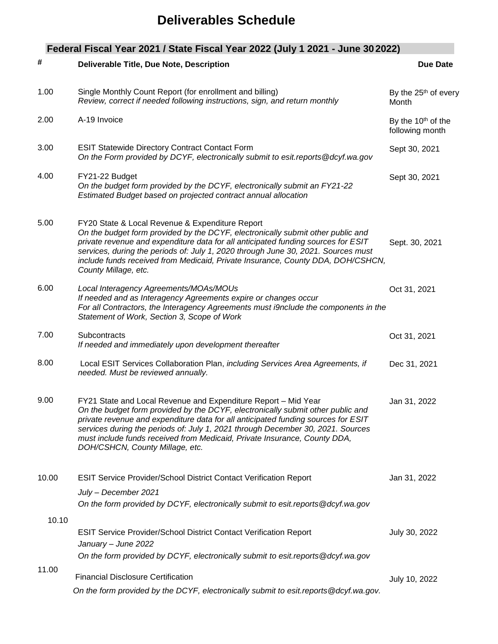## **Deliverables Schedule**

| #     | Deliverable Title, Due Note, Description                                                                                                                                                                                                                                                                                                                                                                                                  | <b>Due Date</b>                                   |
|-------|-------------------------------------------------------------------------------------------------------------------------------------------------------------------------------------------------------------------------------------------------------------------------------------------------------------------------------------------------------------------------------------------------------------------------------------------|---------------------------------------------------|
| 1.00  | Single Monthly Count Report (for enrollment and billing)<br>Review, correct if needed following instructions, sign, and return monthly                                                                                                                                                                                                                                                                                                    | By the 25 <sup>th</sup> of every<br>Month         |
| 2.00  | A-19 Invoice                                                                                                                                                                                                                                                                                                                                                                                                                              | By the 10 <sup>th</sup> of the<br>following month |
| 3.00  | <b>ESIT Statewide Directory Contract Contact Form</b><br>On the Form provided by DCYF, electronically submit to esit.reports @dcyf.wa.gov                                                                                                                                                                                                                                                                                                 | Sept 30, 2021                                     |
| 4.00  | FY21-22 Budget<br>On the budget form provided by the DCYF, electronically submit an FY21-22<br>Estimated Budget based on projected contract annual allocation                                                                                                                                                                                                                                                                             | Sept 30, 2021                                     |
| 5.00  | FY20 State & Local Revenue & Expenditure Report<br>On the budget form provided by the DCYF, electronically submit other public and<br>private revenue and expenditure data for all anticipated funding sources for ESIT<br>services, during the periods of: July 1, 2020 through June 30, 2021. Sources must<br>include funds received from Medicaid, Private Insurance, County DDA, DOH/CSHCN,<br>County Millage, etc.                   | Sept. 30, 2021                                    |
| 6.00  | Local Interagency Agreements/MOAs/MOUs<br>If needed and as Interagency Agreements expire or changes occur<br>For all Contractors, the Interagency Agreements must i9nclude the components in the<br>Statement of Work, Section 3, Scope of Work                                                                                                                                                                                           | Oct 31, 2021                                      |
| 7.00  | Subcontracts<br>If needed and immediately upon development thereafter                                                                                                                                                                                                                                                                                                                                                                     | Oct 31, 2021                                      |
| 8.00  | Local ESIT Services Collaboration Plan, including Services Area Agreements, if<br>needed. Must be reviewed annually.                                                                                                                                                                                                                                                                                                                      | Dec 31, 2021                                      |
| 9.00  | FY21 State and Local Revenue and Expenditure Report - Mid Year<br>On the budget form provided by the DCYF, electronically submit other public and<br>private revenue and expenditure data for all anticipated funding sources for ESIT<br>services during the periods of: July 1, 2021 through December 30, 2021. Sources<br>must include funds received from Medicaid, Private Insurance, County DDA,<br>DOH/CSHCN, County Millage, etc. | Jan 31, 2022                                      |
| 10.00 | <b>ESIT Service Provider/School District Contact Verification Report</b>                                                                                                                                                                                                                                                                                                                                                                  | Jan 31, 2022                                      |
|       | July - December 2021                                                                                                                                                                                                                                                                                                                                                                                                                      |                                                   |
|       | On the form provided by DCYF, electronically submit to esit reports @dcyf.wa.gov                                                                                                                                                                                                                                                                                                                                                          |                                                   |
| 10.10 | <b>ESIT Service Provider/School District Contact Verification Report</b><br>January - June 2022                                                                                                                                                                                                                                                                                                                                           | July 30, 2022                                     |
|       | On the form provided by DCYF, electronically submit to esit.reports @dcyf.wa.gov                                                                                                                                                                                                                                                                                                                                                          |                                                   |
| 11.00 | <b>Financial Disclosure Certification</b>                                                                                                                                                                                                                                                                                                                                                                                                 | July 10, 2022                                     |
|       | On the form provided by the DCYF, electronically submit to esit. reports @dcyf.wa.gov.                                                                                                                                                                                                                                                                                                                                                    |                                                   |